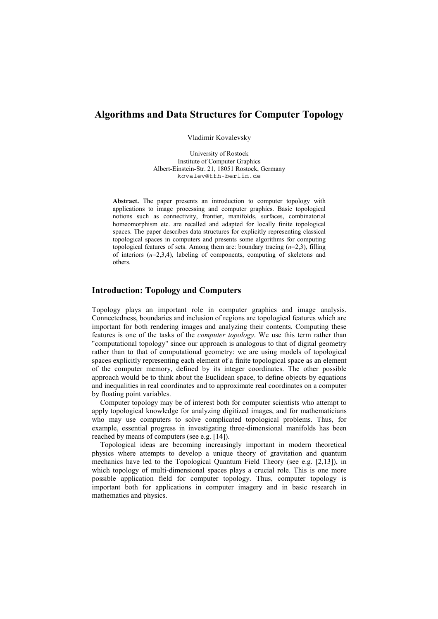# **Algorithms and Data Structures for Computer Topology**

Vladimir Kovalevsky

University of Rostock Institute of Computer Graphics Albert-Einstein-Str. 21, 18051 Rostock, Germany kovalev@tfh-berlin.de

**Abstract.** The paper presents an introduction to computer topology with applications to image processing and computer graphics. Basic topological notions such as connectivity, frontier, manifolds, surfaces, combinatorial homeomorphism etc. are recalled and adapted for locally finite topological spaces. The paper describes data structures for explicitly representing classical topological spaces in computers and presents some algorithms for computing topological features of sets. Among them are: boundary tracing (*n*=2,3), filling of interiors (*n*=2,3,4), labeling of components, computing of skeletons and others.

## **Introduction: Topology and Computers**

Topology plays an important role in computer graphics and image analysis. Connectedness, boundaries and inclusion of regions are topological features which are important for both rendering images and analyzing their contents. Computing these features is one of the tasks of the *computer topology*. We use this term rather than "computational topology" since our approach is analogous to that of digital geometry rather than to that of computational geometry: we are using models of topological spaces explicitly representing each element of a finite topological space as an element of the computer memory, defined by its integer coordinates. The other possible approach would be to think about the Euclidean space, to define objects by equations and inequalities in real coordinates and to approximate real coordinates on a computer by floating point variables.

Computer topology may be of interest both for computer scientists who attempt to apply topological knowledge for analyzing digitized images, and for mathematicians who may use computers to solve complicated topological problems. Thus, for example, essential progress in investigating three-dimensional manifolds has been reached by means of computers (see e.g. [14]).

Topological ideas are becoming increasingly important in modern theoretical physics where attempts to develop a unique theory of gravitation and quantum mechanics have led to the Topological Quantum Field Theory (see e.g. [2,13]), in which topology of multi-dimensional spaces plays a crucial role. This is one more possible application field for computer topology. Thus, computer topology is important both for applications in computer imagery and in basic research in mathematics and physics.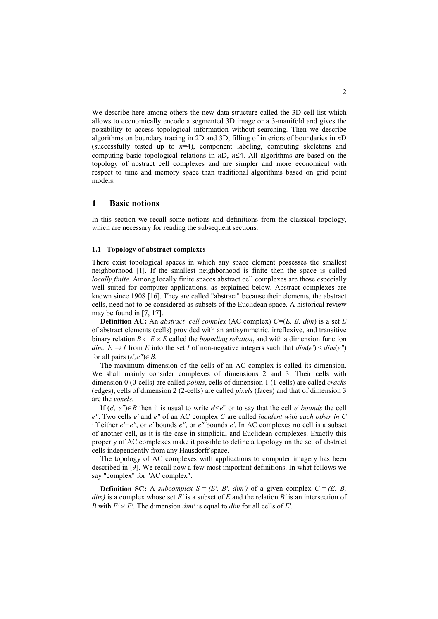We describe here among others the new data structure called the 3D cell list which allows to economically encode a segmented 3D image or a 3-manifold and gives the possibility to access topological information without searching. Then we describe algorithms on boundary tracing in 2D and 3D, filling of interiors of boundaries in *n*D (successfully tested up to *n*=4), component labeling, computing skeletons and computing basic topological relations in *n*D, *n*≤4. All algorithms are based on the topology of abstract cell complexes and are simpler and more economical with respect to time and memory space than traditional algorithms based on grid point models.

## **1 Basic notions**

In this section we recall some notions and definitions from the classical topology, which are necessary for reading the subsequent sections.

### **1.1 Topology of abstract complexes**

There exist topological spaces in which any space element possesses the smallest neighborhood [1]. If the smallest neighborhood is finite then the space is called *locally finite*. Among *locally finite spaces abstract cell complexes are those especially* well suited for computer applications, as explained below. Abstract complexes are known since 1908 [16]. They are called "abstract" because their elements, the abstract cells, need not to be considered as subsets of the Euclidean space. A historical review may be found in [7, 17].

**Definition AC:** An *abstract cell complex* (AC complex) *C=*(*E, B, dim*) is a set *E* of abstract elements (cells) provided with an antisymmetric, irreflexive, and transitive binary relation  $B \subset E \times E$  called the *bounding relation*, and with a dimension function *dim:*  $E \rightarrow I$  from *E* into the set *I* of non-negative integers such that  $dim(e') < dim(e'')$ for all pairs  $(e', e'') \in B$ .

The maximum dimension of the cells of an AC complex is called its dimension. We shall mainly consider complexes of dimensions 2 and 3. Their cells with dimension 0 (0-cells) are called *points*, cells of dimension 1 (1-cells) are called *cracks* (edges), cells of dimension 2 (2-cells) are called *pixels* (faces) and that of dimension 3 are the *voxels*.

If (*e*'*, e"*)∈*B* then it is usual to write *e*'<*e*" or to say that the cell *e*' *bounds* the cell *e"*. Two cells *e'* and *e"* of an AC complex *C* are called *incident with each other in C* iff either *e'=e"*, or *e'* bounds *e"*, or *e"* bounds *e'*. In AC complexes no cell is a subset of another cell, as it is the case in simplicial and Euclidean complexes. Exactly this property of AC complexes make it possible to define a topology on the set of abstract cells independently from any Hausdorff space.

The topology of AC complexes with applications to computer imagery has been described in [9]. We recall now a few most important definitions. In what follows we say "complex" for "AC complex".

**Definition SC:** A *subcomplex*  $S = (E', B', dim')$  of a given complex  $C = (E, B, E')$ *dim)* is a complex whose set *E'* is a subset of *E* and the relation *B'* is an intersection of *B* with  $E' \times E'$ . The dimension *dim'* is equal to *dim* for all cells of *E'*.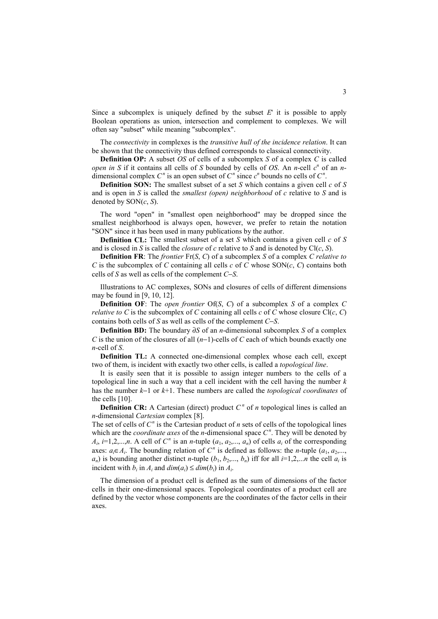Since a subcomplex is uniquely defined by the subset *E*' it is possible to apply Boolean operations as union, intersection and complement to complexes. We will often say "subset" while meaning "subcomplex".

The *connectivity* in complexes is the *transitive hull of the incidence relation*. It can be shown that the connectivity thus defined corresponds to classical connectivity.

**Definition OP:** A subset *OS* of cells of a subcomplex *S* of a complex *C* is called *open in S* if it contains all cells of *S* bounded by cells of *OS*. An *n*-cell  $c^n$  of an *n*dimensional complex  $C^n$  is an open subset of  $C^n$  since  $c^n$  bounds no cells of  $C^n$ .

**Definition SON:** The smallest subset of a set *S* which contains a given cell *c* of *S* and is open in *S* is called the *smallest (open) neighborhood* of *c* relative to *S* and is denoted by SON(*c*, *S*).

The word "open" in "smallest open neighborhood" may be dropped since the smallest neighborhood is always open, however, we prefer to retain the notation "SON" since it has been used in many publications by the author.

**Definition CL:** The smallest subset of a set *S* which contains a given cell *c* of *S* and is closed in *S* is called the *closure* of *c* relative to *S* and is denoted by Cl(*c*, *S*).

**Definition FR**: The *frontier* Fr(*S*, *C*) of a subcomplex *S* of a complex *C relative to*  $C$  is the subcomplex of  $C$  containing all cells  $c$  of  $C$  whose  $SON(c, C)$  contains both cells of *S* as well as cells of the complement *C*−*S*.

Illustrations to AC complexes, SONs and closures of cells of different dimensions may be found in [9, 10, 12].

**Definition OF**: The *open frontier* Of(*S*, *C*) of a subcomplex *S* of a complex *C relative to C* is the subcomplex of *C* containing all cells *c* of *C* whose closure Cl(*c*, *C*) contains both cells of *S* as well as cells of the complement *C*−*S*.

**Definition BD:** The boundary ∂*S* of an *n*-dimensional subcomplex *S* of a complex *C* is the union of the closures of all (*n*−1)-cells of *C* each of which bounds exactly one *n*-cell of *S*.

**Definition TL:** A connected one-dimensional complex whose each cell, except two of them, is incident with exactly two other cells, is called a *topological line*.

It is easily seen that it is possible to assign integer numbers to the cells of a topological line in such a way that a cell incident with the cell having the number *k* has the number *k*−1 or *k*+1. These numbers are called the *topological coordinates* of the cells [10].

**Definition CR:** A Cartesian (direct) product  $C<sup>n</sup>$  of *n* topological lines is called an *n*-dimensional *Cartesian* complex [8].

The set of cells of  $C<sup>n</sup>$  is the Cartesian product of *n* sets of cells of the topological lines which are the *coordinate axes* of the *n*-dimensional space  $C<sup>n</sup>$ . They will be denoted by  $A_i$ , *i*=1,2,...,*n*. A cell of  $C^n$  is an *n*-tuple  $(a_1, a_2, ..., a_n)$  of cells  $a_i$  of the corresponding axes:  $a_i ∈ A_i$ . The bounding relation of  $C^n$  is defined as follows: the *n*-tuple ( $a_1, a_2,...,$  $a_n$ ) is bounding another distinct *n*-tuple  $(b_1, b_2,..., b_n)$  iff for all  $i=1,2,...n$  the cell  $a_i$  is incident with  $b_i$  in  $A_i$  and  $dim(a_i) \leq dim(b_i)$  in  $A_i$ .

The dimension of a product cell is defined as the sum of dimensions of the factor cells in their one-dimensional spaces. Topological coordinates of a product cell are defined by the vector whose components are the coordinates of the factor cells in their axes.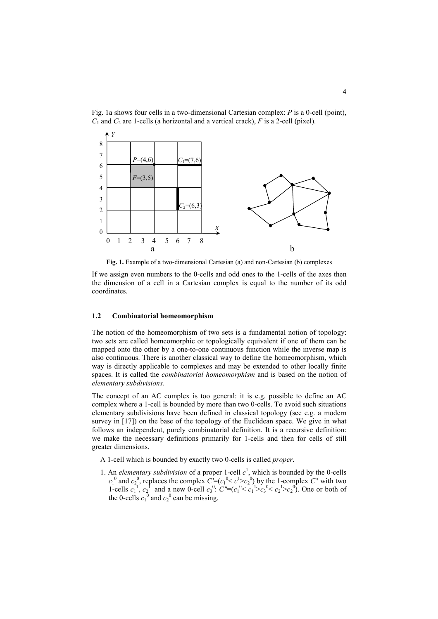

Fig. 1a shows four cells in a two-dimensional Cartesian complex: *P* is a 0-cell (point),  $C_1$  and  $C_2$  are 1-cells (a horizontal and a vertical crack),  $F$  is a 2-cell (pixel).

**Fig. 1.** Example of a two-dimensional Cartesian (a) and non-Cartesian (b) complexes

If we assign even numbers to the 0-cells and odd ones to the 1-cells of the axes then the dimension of a cell in a Cartesian complex is equal to the number of its odd coordinates.

#### **1.2 Combinatorial homeomorphism**

The notion of the homeomorphism of two sets is a fundamental notion of topology: two sets are called homeomorphic or topologically equivalent if one of them can be mapped onto the other by a one-to-one continuous function while the inverse map is also continuous. There is another classical way to define the homeomorphism, which way is directly applicable to complexes and may be extended to other locally finite spaces. It is called the *combinatorial homeomorphism* and is based on the notion of *elementary subdivisions*.

The concept of an AC complex is too general: it is e.g. possible to define an AC complex where a 1-cell is bounded by more than two 0-cells. To avoid such situations elementary subdivisions have been defined in classical topology (see e.g. a modern survey in [17]) on the base of the topology of the Euclidean space. We give in what follows an independent, purely combinatorial definition. It is a recursive definition: we make the necessary definitions primarily for 1-cells and then for cells of still greater dimensions.

A 1-cell which is bounded by exactly two 0-cells is called *proper*.

1. An *elementary subdivision* of a proper 1-cell  $c^1$ , which is bounded by the 0-cells  $c_1^0$  and  $c_2^0$ , replaces the complex  $C = (c_1^0 < c^1 > c_2^0)$  by the 1-complex  $C$ " with two 1-cells  $c_1^1$ ,  $c_2^1$  and a new 0-cell  $c_3^0$ :  $C''=(c_1^0 \le c_1^1>c_3^0 \le c_2^1>c_2^0$ . One or both of the 0-cells  $c_1^0$  and  $c_2^0$  can be missing.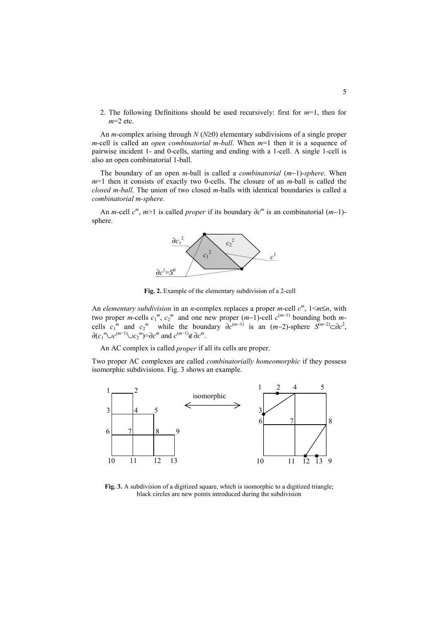2. The following Definitions should be used recursively: first for *m*=1, then for *m*=2 etc.

An *m*-complex arising through *N* (*N*≥0) elementary subdivisions of a single proper *m*-cell is called an *open combinatorial m-ball*. When *m*=1 then it is a sequence of pairwise incident 1- and 0-cells, starting and ending with a 1-cell. A single 1-cell is also an open combinatorial 1-ball.

The boundary of an open *m*-ball is called a *combinatorial* (*m*−1)-*sphere*. When *m*=1 then it consists of exactly two 0-cells. The closure of an *m*-ball is called the *closed m-ball.* The union of two closed *m*-balls with identical boundaries is called a *combinatorial m-sphere.*

An *m*-cell *c <sup>m</sup>*, *m*>1 is called *proper* if its boundary ∂*c <sup>m</sup>* is an combinatorial (*m*−1) sphere.



**Fig. 2.** Example of the elementary subdivision of a 2-cell

An *elementary subdivision* in an *n*-complex replaces a proper *m*-cell *c <sup>m</sup>*, 1<*m*≤*n*, with two proper *m*-cells  $c_1^m$ ,  $c_2^m$  and one new proper  $(m-1)$ -cell  $c^{(m-1)}$  bounding both *m*cells  $c_1^m$  and  $c_2^m$  while the boundary  $\partial c^{(m-1)}$  is an  $(m-2)$ -sphere  $S^{(m-2)} \subset \partial c^2$ , ∂ $(c_1^m \cup c^{(m-1)} \cup c_2^m) = \partial c^m$  and  $c^{(m-1)} \notin \partial c^m$ .

An AC complex is called *proper* if all its cells are proper.

Two proper AC complexes are called *combinatorially homeomorphic* if they possess isomorphic subdivisions. Fig. 3 shows an example.



Fig. 3. A subdivision of a digitized square, which is isomorphic to a digitized triangle; black circles are new points introduced during the subdivision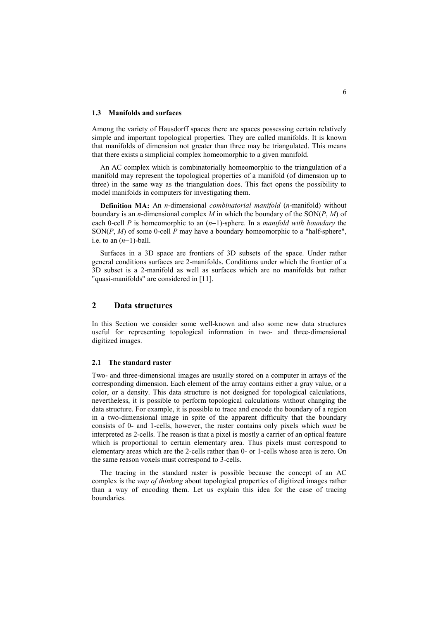#### **1.3 Manifolds and surfaces**

Among the variety of Hausdorff spaces there are spaces possessing certain relatively simple and important topological properties. They are called manifolds. It is known that manifolds of dimension not greater than three may be triangulated. This means that there exists a simplicial complex homeomorphic to a given manifold.

An AC complex which is combinatorially homeomorphic to the triangulation of a manifold may represent the topological properties of a manifold (of dimension up to three) in the same way as the triangulation does. This fact opens the possibility to model manifolds in computers for investigating them.

**Definition MA:** An *n*-dimensional *combinatorial manifold* (*n*-manifold) without boundary is an *n*-dimensional complex *M* in which the boundary of the SON(*P*, *M*) of each 0-cell *P* is homeomorphic to an (*n*−1)-sphere. In a *manifold with boundary* the SON(*P*, *M*) of some 0-cell *P* may have a boundary homeomorphic to a "half-sphere", i.e. to an (*n*−1)-ball.

Surfaces in a 3D space are frontiers of 3D subsets of the space. Under rather general conditions surfaces are 2-manifolds. Conditions under which the frontier of a 3D subset is a 2-manifold as well as surfaces which are no manifolds but rather "quasi-manifolds" are considered in [11].

## **2 Data structures**

In this Section we consider some well-known and also some new data structures useful for representing topological information in two- and three-dimensional digitized images.

#### **2.1 The standard raster**

Two- and three-dimensional images are usually stored on a computer in arrays of the corresponding dimension. Each element of the array contains either a gray value, or a color, or a density. This data structure is not designed for topological calculations, nevertheless, it is possible to perform topological calculations without changing the data structure. For example, it is possible to trace and encode the boundary of a region in a two-dimensional image in spite of the apparent difficulty that the boundary consists of 0- and 1-cells, however, the raster contains only pixels which *must* be interpreted as 2-cells. The reason is that a pixel is mostly a carrier of an optical feature which is proportional to certain elementary area. Thus pixels must correspond to elementary areas which are the 2-cells rather than 0- or 1-cells whose area is zero. On the same reason voxels must correspond to 3-cells.

The tracing in the standard raster is possible because the concept of an AC complex is the *way of thinking* about topological properties of digitized images rather than a way of encoding them. Let us explain this idea for the case of tracing boundaries.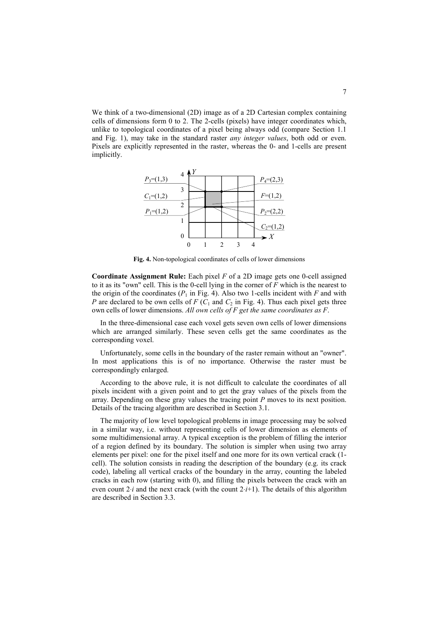We think of a two-dimensional (2D) image as of a 2D Cartesian complex containing cells of dimensions form 0 to 2. The 2-cells (pixels) have integer coordinates which, unlike to topological coordinates of a pixel being always odd (compare Section 1.1 and Fig. 1), may take in the standard raster *any integer values*, both odd or even. Pixels are explicitly represented in the raster, whereas the 0- and 1-cells are present implicitly.



**Fig. 4.** Non-topological coordinates of cells of lower dimensions

**Coordinate Assignment Rule:** Each pixel *F* of a 2D image gets one 0-cell assigned to it as its "own" cell. This is the 0-cell lying in the corner of *F* which is the nearest to the origin of the coordinates  $(P_1$  in Fig. 4). Also two 1-cells incident with *F* and with *P* are declared to be own cells of  $F(G_1)$  and  $G_2$  in Fig. 4). Thus each pixel gets three own cells of lower dimensions. *All own cells of F get the same coordinates as F*.

In the three-dimensional case each voxel gets seven own cells of lower dimensions which are arranged similarly. These seven cells get the same coordinates as the corresponding voxel.

Unfortunately, some cells in the boundary of the raster remain without an "owner". In most applications this is of no importance. Otherwise the raster must be correspondingly enlarged.

According to the above rule, it is not difficult to calculate the coordinates of all pixels incident with a given point and to get the gray values of the pixels from the array. Depending on these gray values the tracing point *P* moves to its next position. Details of the tracing algorithm are described in Section 3.1.

The majority of low level topological problems in image processing may be solved in a similar way, i.e. without representing cells of lower dimension as elements of some multidimensional array. A typical exception is the problem of filling the interior of a region defined by its boundary. The solution is simpler when using two array elements per pixel: one for the pixel itself and one more for its own vertical crack (1 cell). The solution consists in reading the description of the boundary (e.g. its crack code), labeling all vertical cracks of the boundary in the array, counting the labeled cracks in each row (starting with 0), and filling the pixels between the crack with an even count 2⋅*i* and the next crack (with the count 2⋅*i*+1). The details of this algorithm are described in Section 3.3.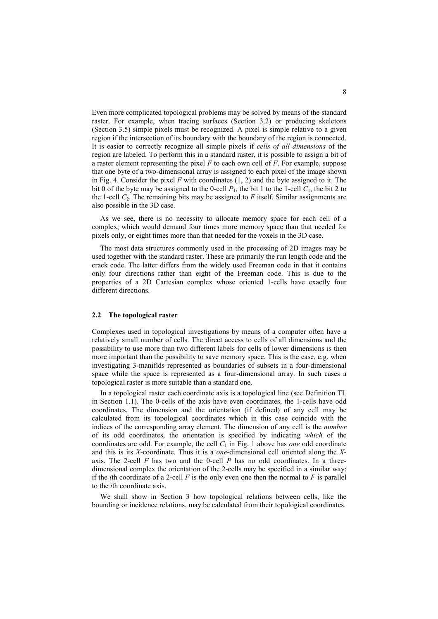Even more complicated topological problems may be solved by means of the standard raster. For example, when tracing surfaces (Section 3.2) or producing skeletons (Section 3.5) simple pixels must be recognized. A pixel is simple relative to a given region if the intersection of its boundary with the boundary of the region is connected. It is easier to correctly recognize all simple pixels if *cells of all dimensions* of the region are labeled. To perform this in a standard raster, it is possible to assign a bit of a raster element representing the pixel *F* to each own cell of *F*. For example, suppose that one byte of a two-dimensional array is assigned to each pixel of the image shown in Fig. 4. Consider the pixel *F* with coordinates (1, 2) and the byte assigned to it. The bit 0 of the byte may be assigned to the 0-cell  $P_1$ , the bit 1 to the 1-cell  $C_1$ , the bit 2 to the 1-cell  $C_2$ . The remaining bits may be assigned to  $F$  itself. Similar assignments are also possible in the 3D case.

As we see, there is no necessity to allocate memory space for each cell of a complex, which would demand four times more memory space than that needed for pixels only, or eight times more than that needed for the voxels in the 3D case.

The most data structures commonly used in the processing of 2D images may be used together with the standard raster. These are primarily the run length code and the crack code. The latter differs from the widely used Freeman code in that it contains only four directions rather than eight of the Freeman code. This is due to the properties of a 2D Cartesian complex whose oriented 1-cells have exactly four different directions.

#### **2.2 The topological raster**

Complexes used in topological investigations by means of a computer often have a relatively small number of cells. The direct access to cells of all dimensions and the possibility to use more than two different labels for cells of lower dimensions is then more important than the possibility to save memory space. This is the case, e.g. when investigating 3-maniflds represented as boundaries of subsets in a four-dimensional space while the space is represented as a four-dimensional array. In such cases a topological raster is more suitable than a standard one.

In a topological raster each coordinate axis is a topological line (see Definition TL in Section 1.1). The 0-cells of the axis have even coordinates, the 1-cells have odd coordinates. The dimension and the orientation (if defined) of any cell may be calculated from its topological coordinates which in this case coincide with the indices of the corresponding array element. The dimension of any cell is the *number* of its odd coordinates, the orientation is specified by indicating *which* of the coordinates are odd. For example, the cell  $C_1$  in Fig. 1 above has *one* odd coordinate and this is its *X*-coordinate. Thus it is a *one*-dimensional cell oriented along the *X*axis. The 2-cell  $F$  has two and the 0-cell  $P$  has no odd coordinates. In a threedimensional complex the orientation of the 2-cells may be specified in a similar way: if the *i*th coordinate of a 2-cell *F* is the only even one then the normal to *F* is parallel to the *i*th coordinate axis.

We shall show in Section 3 how topological relations between cells, like the bounding or incidence relations, may be calculated from their topological coordinates.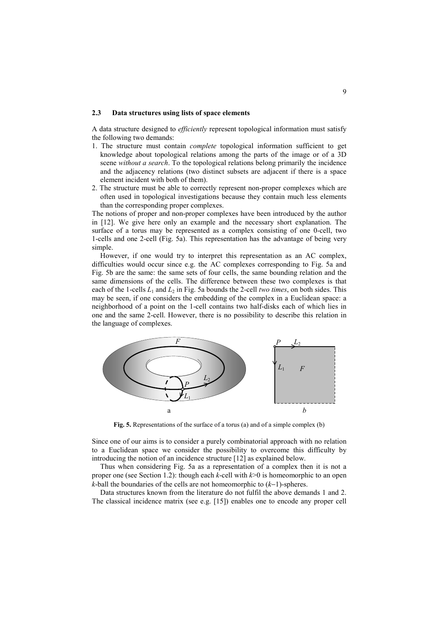#### **2.3 Data structures using lists of space elements**

A data structure designed to *efficiently* represent topological information must satisfy the following two demands:

- 1. The structure must contain *complete* topological information sufficient to get knowledge about topological relations among the parts of the image or of a 3D scene *without a search*. To the topological relations belong primarily the incidence and the adjacency relations (two distinct subsets are adjacent if there is a space element incident with both of them).
- 2. The structure must be able to correctly represent non-proper complexes which are often used in topological investigations because they contain much less elements than the corresponding proper complexes.

The notions of proper and non-proper complexes have been introduced by the author in [12]. We give here only an example and the necessary short explanation. The surface of a torus may be represented as a complex consisting of one 0-cell, two 1-cells and one 2-cell (Fig. 5a). This representation has the advantage of being very simple.

However, if one would try to interpret this representation as an AC complex, difficulties would occur since e.g. the AC complexes corresponding to Fig. 5a and Fig. 5b are the same: the same sets of four cells, the same bounding relation and the same dimensions of the cells. The difference between these two complexes is that each of the 1-cells  $L_1$  and  $L_2$  in Fig. 5a bounds the 2-cell *two times*, on both sides. This may be seen, if one considers the embedding of the complex in a Euclidean space: a neighborhood of a point on the 1-cell contains two half-disks each of which lies in one and the same 2-cell. However, there is no possibility to describe this relation in the language of complexes.



**Fig. 5.** Representations of the surface of a torus (a) and of a simple complex (b)

Since one of our aims is to consider a purely combinatorial approach with no relation to a Euclidean space we consider the possibility to overcome this difficulty by introducing the notion of an incidence structure [12] as explained below.

Thus when considering Fig. 5a as a representation of a complex then it is not a proper one (see Section 1.2): though each *k*-cell with *k*>0 is homeomorphic to an open *k*-ball the boundaries of the cells are not homeomorphic to (*k*−1)-spheres.

Data structures known from the literature do not fulfil the above demands 1 and 2. The classical incidence matrix (see e.g. [15]) enables one to encode any proper cell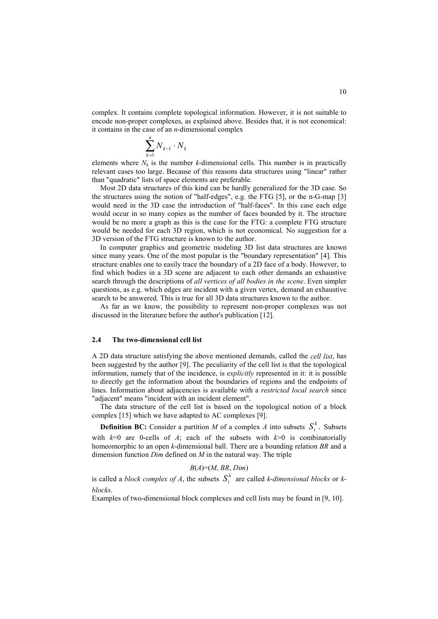complex. It contains complete topological information. However, it is not suitable to encode non-proper complexes, as explained above. Besides that, it is not economical: it contains in the case of an *n*-dimensional complex

$$
\sum_{k=1}^n N_{k-1} \cdot N_k
$$

elements where  $N_k$  is the number  $k$ -dimensional cells. This number is in practically relevant cases too large. Because of this reasons data structures using "linear" rather than "quadratic" lists of space elements are preferable.

Most 2D data structures of this kind can be hardly generalized for the 3D case. So the structures using the notion of "half-edges", e.g. the FTG [5], or the n-G-map [3] would need in the 3D case the introduction of "half-faces". In this case each edge would occur in so many copies as the number of faces bounded by it. The structure would be no more a graph as this is the case for the FTG: a complete FTG structure would be needed for each 3D region, which is not economical. No suggestion for a 3D version of the FTG structure is known to the author.

In computer graphics and geometric modeling 3D list data structures are known since many years. One of the most popular is the "boundary representation" [4]. This structure enables one to easily trace the boundary of a 2D face of a body. However, to find which bodies in a 3D scene are adjacent to each other demands an exhaustive search through the descriptions of *all vertices of all bodies in the scene*. Even simpler questions, as e.g. which edges are incident with a given vertex, demand an exhaustive search to be answered. This is true for all 3D data structures known to the author.

As far as we know, the possibility to represent non-proper complexes was not discussed in the literature before the author's publication [12].

#### **2.4 The two-dimensional cell list**

A 2D data structure satisfying the above mentioned demands, called the *cell list*, has been suggested by the author [9]. The peculiarity of the cell list is that the topological information, namely that of the incidence, is *explicitly* represented in it: it is possible to directly get the information about the boundaries of regions and the endpoints of lines. Information about adjacencies is available with a *restricted local search* since "adjacent" means "incident with an incident element".

The data structure of the cell list is based on the topological notion of a block complex [15] which we have adapted to AC complexes [9].

**Definition BC:** Consider a partition *M* of a complex *A* into subsets  $S_i^k$ . Subsets

with  $k=0$  are 0-cells of *A*; each of the subsets with  $k>0$  is combinatorially homeomorphic to an open *k*-dimensional ball. There are a bounding relation *BR* and a dimension function *Dim* defined on *M* in the natural way. The triple

## *B*(*A*)=(*M*, *BR*, *Dim*)

is called a *block complex of A*, the subsets  $S_i^k$  are called *k*-*dimensional blocks* or *kblocks*.

Examples of two-dimensional block complexes and cell lists may be found in [9, 10].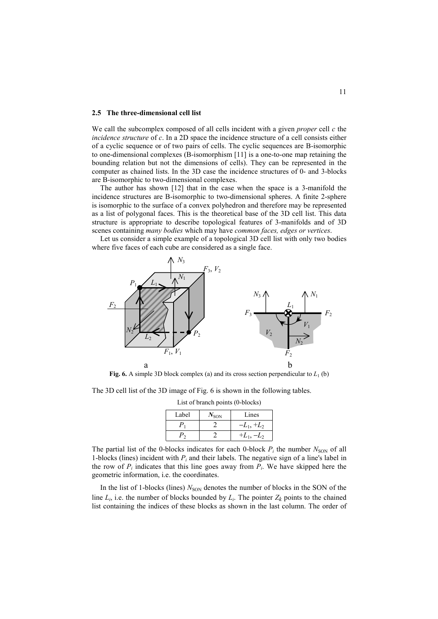#### **2.5 The three-dimensional cell list**

We call the subcomplex composed of all cells incident with a given *proper* cell *c* the *incidence structure* of *c*. In a 2D space the incidence structure of a cell consists either of a cyclic sequence or of two pairs of cells. The cyclic sequences are B-isomorphic to one-dimensional complexes (B-isomorphism [11] is a one-to-one map retaining the bounding relation but not the dimensions of cells). They can be represented in the computer as chained lists. In the 3D case the incidence structures of 0- and 3-blocks are B-isomorphic to two-dimensional complexes.

The author has shown [12] that in the case when the space is a 3-manifold the incidence structures are B-isomorphic to two-dimensional spheres. A finite 2-sphere is isomorphic to the surface of a convex polyhedron and therefore may be represented as a list of polygonal faces. This is the theoretical base of the 3D cell list. This data structure is appropriate to describe topological features of 3-manifolds and of 3D scenes containing *many bodies* which may have *common faces, edges or vertices*.

Let us consider a simple example of a topological 3D cell list with only two bodies where five faces of each cube are considered as a single face.



**Fig. 6.** A simple 3D block complex (a) and its cross section perpendicular to  $L_1$  (b)

|  |  |  |  | The 3D cell list of the 3D image of Fig. 6 is shown in the following tables. |  |
|--|--|--|--|------------------------------------------------------------------------------|--|
|  |  |  |  |                                                                              |  |

| List of branch points (0-blocks) |                    |                 |  |  |  |  |
|----------------------------------|--------------------|-----------------|--|--|--|--|
| Label                            | $N_{\mathrm{SON}}$ | Lines           |  |  |  |  |
|                                  |                    | $-L_1, +L_2$    |  |  |  |  |
|                                  |                    | $+L_1$ , $-L_2$ |  |  |  |  |

The partial list of the 0-blocks indicates for each 0-block  $P_i$  the number  $N_{\text{SON}}$  of all 1-blocks (lines) incident with  $P_i$  and their labels. The negative sign of a line's label in the row of  $P_i$  indicates that this line goes away from  $P_i$ . We have skipped here the geometric information, i.e. the coordinates.

In the list of 1-blocks (lines)  $N_{SON}$  denotes the number of blocks in the SON of the line  $L_i$ , i.e. the number of blocks bounded by  $L_i$ . The pointer  $Z_k$  points to the chained list containing the indices of these blocks as shown in the last column. The order of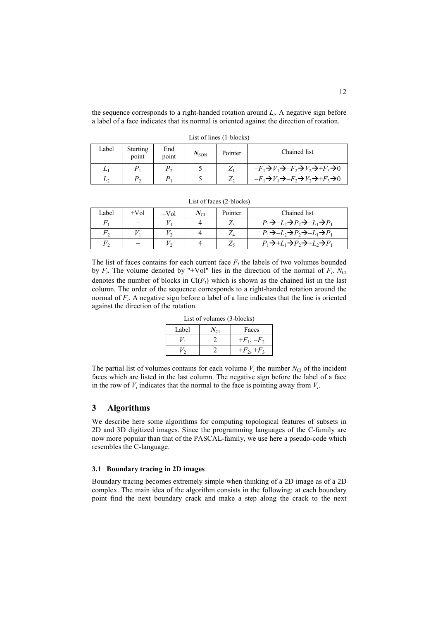the sequence corresponds to a right-handed rotation around *Li*. A negative sign before a label of a face indicates that its normal is oriented against the direction of rotation.

| Label | <b>Starting</b><br>point | End<br>point | $N_{\mathrm{SON}}$ | Pointer           | Chained list                                                                      |
|-------|--------------------------|--------------|--------------------|-------------------|-----------------------------------------------------------------------------------|
| L.    |                          |              |                    |                   | $-F_1\rightarrow V_1\rightarrow -F_2\rightarrow V_2\rightarrow +F_3\rightarrow 0$ |
| L٦    | Р,                       |              |                    | $\mathcal{L}_{2}$ | $-F_1\rightarrow V_1\rightarrow -F_2\rightarrow V_2\rightarrow +F_3\rightarrow 0$ |

List of lines (1-blocks)

| Label | Starting<br>point | End<br>point | $N_{\mathrm{SON}}$ | Pointer | Chained list                                                                      |
|-------|-------------------|--------------|--------------------|---------|-----------------------------------------------------------------------------------|
| L1    |                   |              |                    | ∼       | $-F_1\rightarrow V_1\rightarrow-F_2\rightarrow V_2\rightarrow+F_3\rightarrow 0$   |
| L٥    |                   |              |                    | 40      | $-F_1\rightarrow V_1\rightarrow -F_2\rightarrow V_2\rightarrow +F_3\rightarrow 0$ |

List of faces (2-blocks)

| Label          | $+Vol$ | $-Vol$ | $N_{\rm Cl}$ | Pointer         | Chained list                                                            |
|----------------|--------|--------|--------------|-----------------|-------------------------------------------------------------------------|
| F <sub>1</sub> |        |        |              | $\mathcal{L}_3$ | $P_1 \rightarrow -L_2 \rightarrow P_2 \rightarrow -L_1 \rightarrow P_1$ |
| F,             |        |        |              | $Z_{4}$         | $P_1 \rightarrow -L_2 \rightarrow P_2 \rightarrow -L_1 \rightarrow P_1$ |
|                |        |        |              |                 | $P_1\rightarrow+L_1\rightarrow P_2\rightarrow+L_2\rightarrow P_1$       |

The list of faces contains for each current face  $F_i$  the labels of two volumes bounded by  $F_i$ . The volume denoted by "+Vol" lies in the direction of the normal of  $F_i$ .  $N_{\text{Cl}}$ denotes the number of blocks in  $Cl(F_i)$  which is shown as the chained list in the last column. The order of the sequence corresponds to a right-handed rotation around the normal of *Fi*. A negative sign before a label of a line indicates that the line is oriented against the direction of the rotation.

List of volumes (3-blocks)

| Label | √∩ | Faces        |
|-------|----|--------------|
|       |    | $+F_1, -F_2$ |
|       |    | $+F_2, +F_3$ |

The partial list of volumes contains for each volume  $V_i$  the number  $N_{\text{Cl}}$  of the incident faces which are listed in the last column. The negative sign before the label of a face in the row of  $V_i$  indicates that the normal to the face is pointing away from  $V_i$ .

## **3 Algorithms**

We describe here some algorithms for computing topological features of subsets in 2D and 3D digitized images. Since the programming languages of the C-family are now more popular than that of the PASCAL-family, we use here a pseudo-code which resembles the C-language.

### **3.1 Boundary tracing in 2D images**

Boundary tracing becomes extremely simple when thinking of a 2D image as of a 2D complex. The main idea of the algorithm consists in the following: at each boundary point find the next boundary crack and make a step along the crack to the next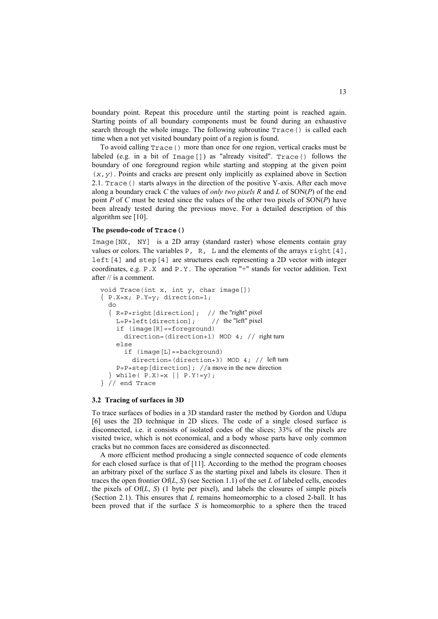boundary point. Repeat this procedure until the starting point is reached again. Starting points of all boundary components must be found during an exhaustive search through the whole image. The following subroutine Trace() is called each time when a not yet visited boundary point of a region is found.

To avoid calling Trace() more than once for one region, vertical cracks must be labeled (e.g. in a bit of Image[]) as "already visited". Trace() follows the boundary of one foreground region while starting and stopping at the given point (*x*,*y*). Points and cracks are present only implicitly as explained above in Section 2.1. Trace() starts always in the direction of the positive Y-axis. After each move along a boundary crack *C* the values of *only two pixels R* and *L* of SON(*P*) of the end point *P* of *C* must be tested since the values of the other two pixels of SON(*P*) have been already tested during the previous move. For a detailed description of this algorithm see [10].

### **The pseudo-code of Trace()**

Image [NX, NY] is a 2D array (standard raster) whose elements contain gray values or colors. The variables  $P$ ,  $R$ ,  $L$  and the elements of the arrays right [4], left[4] and step[4] are structures each representing a 2D vector with integer coordinates, e.g. P.X and P.Y. The operation "+" stands for vector addition. Text after // is a comment.

```
void Trace(int x, int y, char image[])
{ P.X=x; P.Y=y; direction=1;
   do
  \{ R=P+right [direction]; // the "right" pixel
    L = P + left[direction]; // the "left" pixel
     if (image[R]==foreground)
       direction=(direction+1) MOD 4; // right turn
     else
       if (image[L]==background)
         direction=(direction+3) MOD 4; // left turn
     P=P+step[direction]; //a move in the new direction
   } while( P.X!=x || P.Y!=y);
} // end Trace
```
### **3.2 Tracing of surfaces in 3D**

To trace surfaces of bodies in a 3D standard raster the method by Gordon and Udupa [6] uses the 2D technique in 2D slices. The code of a single closed surface is disconnected, i.e. it consists of isolated codes of the slices; 33% of the pixels are visited twice, which is not economical, and a body whose parts have only common cracks but no common faces are considered as disconnected.

A more efficient method producing a single connected sequence of code elements for each closed surface is that of  $[11]$ . According to the method the program chooses an arbitrary pixel of the surface *S* as the starting pixel and labels its closure. Then it traces the open frontier Of(*L*, *S*) (see Section 1.1) of the set *L* of labeled cells, encodes the pixels of Of(*L*, *S*) (1 byte per pixel), and labels the closures of simple pixels (Section 2.1). This ensures that *L* remains homeomorphic to a closed 2-ball. It has been proved that if the surface *S* is homeomorphic to a sphere then the traced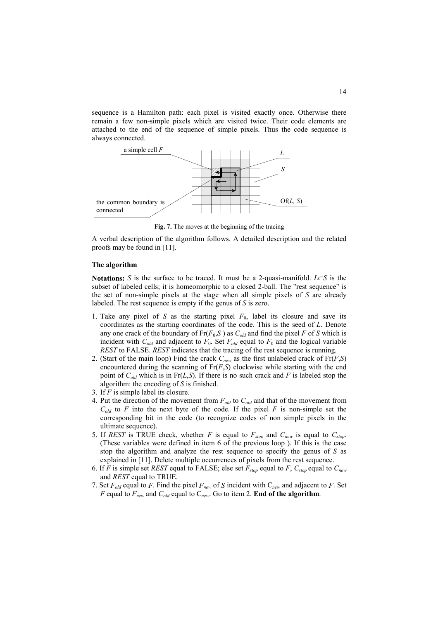sequence is a Hamilton path: each pixel is visited exactly once. Otherwise there remain a few non-simple pixels which are visited twice. Their code elements are attached to the end of the sequence of simple pixels. Thus the code sequence is always connected.



**Fig. 7.** The moves at the beginning of the tracing

A verbal description of the algorithm follows. A detailed description and the related proofs may be found in [11].

## **The algorithm**

**Notations:** *S* is the surface to be traced. It must be a 2-quasi-manifold. *L*⊂*S* is the subset of labeled cells; it is homeomorphic to a closed 2-ball. The "rest sequence" is the set of non-simple pixels at the stage when all simple pixels of *S* are already labeled. The rest sequence is empty if the genus of *S* is zero.

- 1. Take any pixel of *S* as the starting pixel  $F_0$ , label its closure and save its coordinates as the starting coordinates of the code. This is the seed of *L*. Denote any one crack of the boundary of  $\text{Fr}(F_0, S)$  as  $C_{old}$  and find the pixel F of S which is incident with  $C_{old}$  and adjacent to  $F_0$ . Set  $F_{old}$  equal to  $F_0$  and the logical variable *REST* to FALSE. *REST* indicates that the tracing of the rest sequence is running.
- 2. (Start of the main loop) Find the crack  $C_{new}$  as the first unlabeled crack of  $Fr(F,S)$ encountered during the scanning of Fr(*F*,*S*) clockwise while starting with the end point of *Cold* which is in Fr(*L*,*S*). If there is no such crack and *F* is labeled stop the algorithm: the encoding of *S* is finished.
- 3. If *F* is simple label its closure.
- 4. Put the direction of the movement from  $F_{old}$  to  $C_{old}$  and that of the movement from  $C_{old}$  to *F* into the next byte of the code. If the pixel *F* is non-simple set the corresponding bit in the code (to recognize codes of non simple pixels in the ultimate sequence).
- 5. If *REST* is TRUE check, whether *F* is equal to  $F_{stop}$  and  $C_{new}$  is equal to  $C_{stop}$ . (These variables were defined in item 6 of the previous loop ). If this is the case stop the algorithm and analyze the rest sequence to specify the genus of *S* as explained in [11]. Delete multiple occurrences of pixels from the rest sequence.
- 6. If *F* is simple set *REST* equal to FALSE; else set  $F_{stop}$  equal to *F*,  $C_{stop}$  equal to  $C_{new}$ and *REST* equal to TRUE.
- 7. Set  $F_{old}$  equal to *F*. Find the pixel  $F_{new}$  of *S* incident with  $C_{new}$  and adjacent to *F*. Set *F* equal to *Fnew* and *Cold* equal to C*new*. Go to item 2. **End of the algorithm**.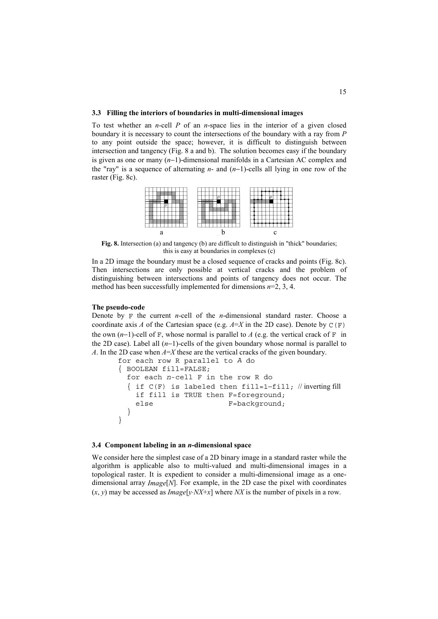#### **3.3 Filling the interiors of boundaries in multi-dimensional images**

To test whether an *n*-cell *P* of an *n*-space lies in the interior of a given closed boundary it is necessary to count the intersections of the boundary with a ray from *P* to any point outside the space; however, it is difficult to distinguish between intersection and tangency (Fig. 8 a and b). The solution becomes easy if the boundary is given as one or many (*n*−1)-dimensional manifolds in a Cartesian AC complex and the "ray" is a sequence of alternating *n*- and (*n*−1)-cells all lying in one row of the raster (Fig. 8c).



Fig. 8. Intersection (a) and tangency (b) are difficult to distinguish in "thick" boundaries; this is easy at boundaries in complexes (c)

In a 2D image the boundary must be a closed sequence of cracks and points (Fig. 8c). Then intersections are only possible at vertical cracks and the problem of distinguishing between intersections and points of tangency does not occur. The method has been successfully implemented for dimensions *n*=2, 3, 4.

#### **The pseudo-code**

Denote by F the current *n*-cell of the *n*-dimensional standard raster. Choose a coordinate axis *A* of the Cartesian space (e.g.  $A=X$  in the 2D case). Denote by  $C(F)$ the own  $(n-1)$ -cell of F, whose normal is parallel to *A* (e.g. the vertical crack of F in the 2D case). Label all (*n*−1)-cells of the given boundary whose normal is parallel to *A*. In the 2D case when *A*=*X* these are the vertical cracks of the given boundary.

```
for each row R parallel to A do
{ BOOLEAN fill=FALSE;
  for each n-cell F in the row R do
   { if C(F) is labeled then fill=1−fill; // inverting fill
    if fill is TRUE then F=foreground;
   else F=background;
 }
}
```
#### **3.4 Component labeling in an** *n***-dimensional space**

We consider here the simplest case of a 2D binary image in a standard raster while the algorithm is applicable also to multi-valued and multi-dimensional images in a topological raster. It is expedient to consider a multi-dimensional image as a onedimensional array *Image*[*N*]. For example, in the 2D case the pixel with coordinates  $(x, y)$  may be accessed as *Image*[ $y \cdot N X + x$ ] where  $NX$  is the number of pixels in a row.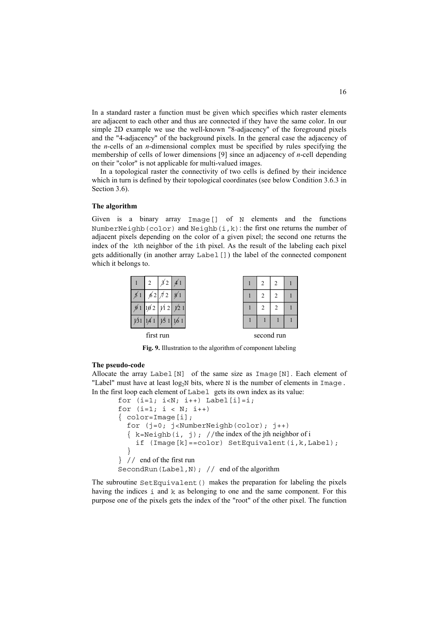In a standard raster a function must be given which specifies which raster elements are adjacent to each other and thus are connected if they have the same color. In our simple 2D example we use the well-known "8-adjacency" of the foreground pixels and the "4-adjacency" of the background pixels. In the general case the adjacency of the *n*-cells of an *n*-dimensional complex must be specified by rules specifying the membership of cells of lower dimensions [9] since an adjacency of *n*-cell depending on their "color" is not applicable for multi-valued images.

In a topological raster the connectivity of two cells is defined by their incidence which in turn is defined by their topological coordinates (see below Condition 3.6.3 in Section 3.6).

## **The algorithm**

Given is a binary array Image[] of N elements and the functions NumberNeighb(color) and Neighb(i,k): the first one returns the number of adjacent pixels depending on the color of a given pixel; the second one returns the index of the kth neighbor of the ith pixel. As the result of the labeling each pixel gets additionally (in another array Label[]) the label of the connected component which it belongs to.



**Fig. 9.** Illustration to the algorithm of component labeling

## **The pseudo-code**

Allocate the array Label[N] of the same size as Image[N]. Each element of "Label" must have at least log<sub>2</sub>N bits, where N is the number of elements in  $Image$ . In the first loop each element of Label gets its own index as its value:

```
for (i=1; i<N; i++) Label[i]=i;for (i=1; i < N; i++){ color=Image[i];
   for (j=0; j<NumberNeighb(color); j++)
  \{ k = Neighbour(i, j); //the index of the jth neighbor of i
     if (Image[k]==color) SetEquivalent(i,k,Label);
 }
} // end of the first run
SecondRun(Label,N); // end of the algorithm
```
The subroutine SetEquivalent() makes the preparation for labeling the pixels having the indices i and k as belonging to one and the same component. For this purpose one of the pixels gets the index of the "root" of the other pixel. The function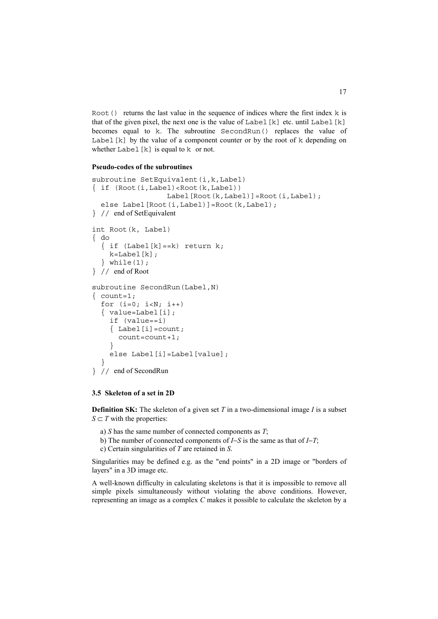Root() returns the last value in the sequence of indices where the first index  $k$  is that of the given pixel, the next one is the value of Label  $[k]$  etc. until Label  $[k]$ becomes equal to k. The subroutine SecondRun() replaces the value of Label  $[k]$  by the value of a component counter or by the root of  $k$  depending on whether Label [k] is equal to k or not.

## **Pseudo-codes of the subroutines**

```
subroutine SetEquivalent(i, k, Label)
{ if (Root(i,Label)<Root(k,Label))
                   Label[Root(k,Label)]=Root(i,Label);
  else Label[Root(i,Label)]=Root(k,Label);
} // end of SetEquivalent
int Root(k, Label)
{ do
  { if (Label[k]=k) return k;
     k=Label[k];
  } while(1);
} // end of Root
subroutine SecondRun(Label,N)
{ count=1;for (i=0; i<N; i++) { value=Label[i];
     if (value==i)
    \{Label[i]=count;
       count=count+1;
 }
     else Label[i]=Label[value];
   }
} // end of SecondRun
```
## **3.5 Skeleton of a set in 2D**

**Definition SK:** The skeleton of a given set *T* in a two-dimensional image *I* is a subset  $S \subset T$  with the properties:

- a) *S* has the same number of connected components as *T*;
- b) The number of connected components of *I*−*S* is the same as that of *I*−*T*;
- c) Certain singularities of *T* are retained in *S*.

Singularities may be defined e.g. as the "end points" in a 2D image or "borders of layers" in a 3D image etc.

A well-known difficulty in calculating skeletons is that it is impossible to remove all simple pixels simultaneously without violating the above conditions. However, representing an image as a complex *C* makes it possible to calculate the skeleton by a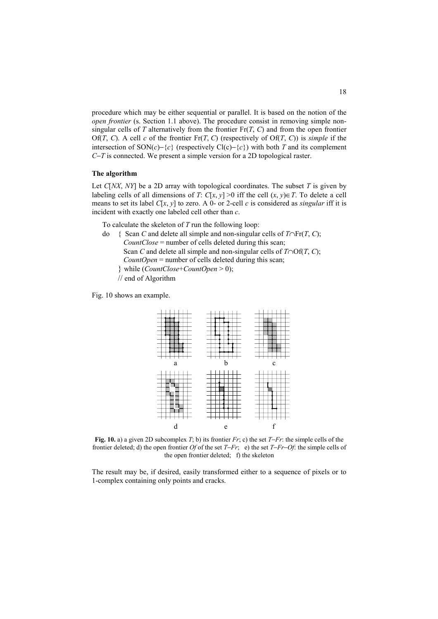procedure which may be either sequential or parallel. It is based on the notion of the *open frontier* (s. Section 1.1 above). The procedure consist in removing simple nonsingular cells of  $T$  alternatively from the frontier  $\text{Fr}(T, C)$  and from the open frontier Of(*T*, *C*). A cell *c* of the frontier  $\text{Fr}(T, C)$  (respectively of Of(*T*, *C*)) is *simple* if the intersection of SON(*c*)−{*c*} (respectively Cl(c)−{*c*}) with both *T* and its complement *C*−*T* is connected. We present a simple version for a 2D topological raster.

## **The algorithm**

Let *C*[*NX*, *NY*] be a 2D array with topological coordinates. The subset *T* is given by labeling cells of all dimensions of *T*:  $C[x, y] > 0$  iff the cell  $(x, y) \in T$ . To delete a cell means to set its label  $C[x, y]$  to zero. A 0- or 2-cell c is considered as *singular* iff it is incident with exactly one labeled cell other than *c*.

To calculate the skeleton of *T* run the following loop:

do { Scan *C* and delete all simple and non-singular cells of *T*∩Fr(*T*, *C*); *CountClose* = number of cells deleted during this scan; Scan *C* and delete all simple and non-singular cells of *T*∩Of(*T*, *C*); *CountOpen* = number of cells deleted during this scan; } while (*CountClose*+*CountOpen* > 0); // end of Algorithm

Fig. 10 shows an example.



**Fig. 10.** a) a given 2D subcomplex *T*; b) its frontier *Fr*; c) the set *T*−*Fr*: the simple cells of the frontier deleted; d) the open frontier *Of* of the set *T*−*Fr*; e) the set *T*−*Fr*−*Of*: the simple cells of the open frontier deleted; f) the skeleton

The result may be, if desired, easily transformed either to a sequence of pixels or to 1-complex containing only points and cracks.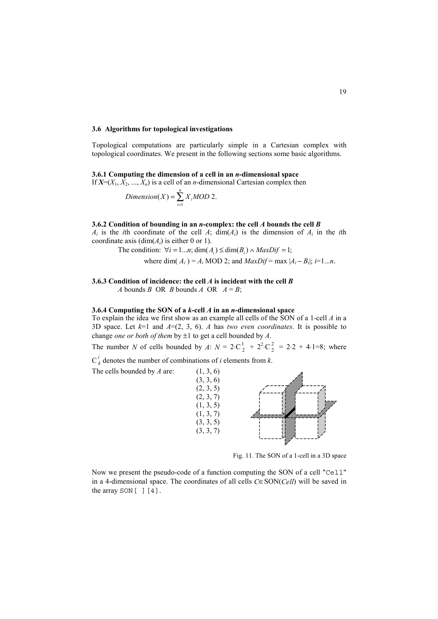## **3.6 Algorithms for topological investigations**

Topological computations are particularly simple in a Cartesian complex with topological coordinates. We present in the following sections some basic algorithms.

**3.6.1 Computing the dimension of a cell in an** *n***-dimensional space** If  $X=(X_1, X_2, ..., X_n)$  is a cell of an *n*-dimensional Cartesian complex then

*Dimension*(
$$
X
$$
) =  $\sum_{i=1}^{n} X_i MOD$  2.

#### **3.6.2 Condition of bounding in an** *n***-complex: the cell** *A* **bounds the cell** *B*

 $A_i$  is the *i*th coordinate of the cell *A*;  $\dim(A_i)$  is the dimension of  $A_i$  in the *i*th coordinate axis (dim( $A<sub>i</sub>$ ) is either 0 or 1).

The condition: 
$$
\forall i = 1...n
$$
;  $\dim(A_i) \leq \dim(B_i) \land \text{MaxDiff} = 1$ ;  
where  $\dim(A_i) = A_i \text{ MOD 2}$ ; and  $\text{MaxDiff} = \max |A_i - B_i|$ ;  $i=1...n$ .

**3.6.3 Condition of incidence: the cell** *A* **is incident with the cell** *B*

*A* bounds *B* OR *B* bounds *A* OR  $A = B$ ;

## **3.6.4 Computing the SON of a** *k***-cell** *A* **in an** *n***-dimensional space**

To explain the idea we first show as an example all cells of the SON of a 1-cell *A* in a 3D space. Let  $k=1$  and  $A=(2, 3, 6)$ . *A* has *two even coordinates*. It is possible to change *one or both of them* by ±1 to get a cell bounded by *A*.

The number *N* of cells bounded by *A*:  $N = 2 \cdot C_2^1 + 2^2 \cdot C_2^2 = 2 \cdot 2 + 4 \cdot 1 = 8$ ; where

 $C_k^i$  denotes the number of combinations of *i* elements from *k*.

The cells bounded by  $A$  are: (1, 3, 6)



Fig. 11. The SON of a 1-cell in a 3D space

Now we present the pseudo-code of a function computing the SON of a cell "Cell" in a 4-dimensional space. The coordinates of all cells *C*∈SON(*Cell*) will be saved in the array  $SON$   $[$   $]$   $[4]$ .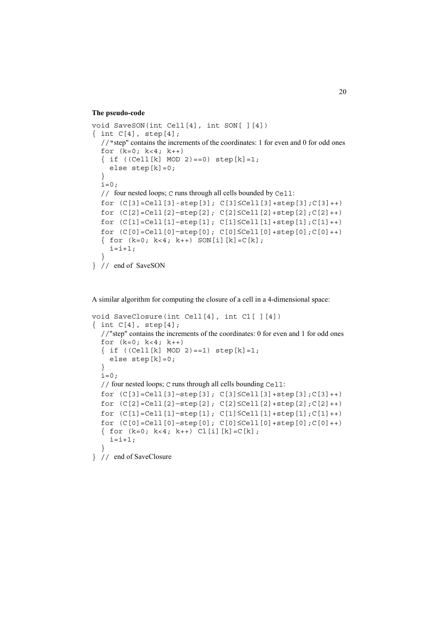#### **The pseudo-code**

```
void SaveSON(int Cell[4], int SON[ ][4])
\{ int C[4], step[4];
   //"step" contains the increments of the coordinates: 1 for even and 0 for odd ones
  for (k=0; k<4; k++){ if ((Cell[k] MOD 2) == 0) step[k] = 1;
     else step[k]=0;
   }
  i=0; // four nested loops; C runs through all cells bounded by Cell:
  for (C[3] = Cell[3] - step[3]; C[3] \le Cell[3] + step[3]; C[3] + 1 for (C[2]=Cell[2]−step[2]; C[2]≤Cell[2]+step[2];C[2]++)
  for (C[1] = Cell[1] - Step[1]; C[1] \le Cell[1] + step[1]; C[1]++)
   for (C[0]=Cell[0]−step[0]; C[0]≤Cell[0]+step[0];C[0]++)
  { for (k=0; k<4; k++) SON[i][k]=C[k];
    i=i+1; }
} // end of SaveSON
```
A similar algorithm for computing the closure of a cell in a 4-dimensional space:

```
void SaveClosure(int Cell[4], int Cl[ ][4])
{ int C[4], step[4];
   //"step" contains the increments of the coordinates: 0 for even and 1 for odd ones
  for (k=0; k<4; k++){ if ((Cell[k] MOD 2) ==1) step[k] =1;
     else step[k]=0;
   }
  i=0; // four nested loops; C runs through all cells bounding Cell:
   for (C[3]=Cell[3]−step[3]; C[3]≤Cell[3]+step[3];C[3]++)
   for (C[2]=Cell[2]−step[2]; C[2]≤Cell[2]+step[2];C[2]++)
   for (C[1]=Cell[1]−step[1]; C[1]≤Cell[1]+step[1];C[1]++)
  for (C[0] = Cell[0] - Step[0]; C[0] \le Cell[0] + Step[0]; C[0] + +){ for (k=0; k<4; k++) Cl[i][k]=C[k];
    i=i+1; }
} // end of SaveClosure
```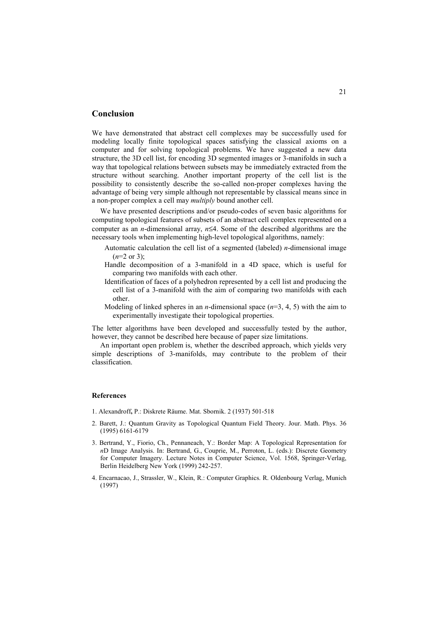## **Conclusion**

We have demonstrated that abstract cell complexes may be successfully used for modeling locally finite topological spaces satisfying the classical axioms on a computer and for solving topological problems. We have suggested a new data structure, the 3D cell list, for encoding 3D segmented images or 3-manifolds in such a way that topological relations between subsets may be immediately extracted from the structure without searching. Another important property of the cell list is the possibility to consistently describe the so-called non-proper complexes having the advantage of being very simple although not representable by classical means since in a non-proper complex a cell may *multiply* bound another cell.

We have presented descriptions and/or pseudo-codes of seven basic algorithms for computing topological features of subsets of an abstract cell complex represented on a computer as an *n*-dimensional array, *n*≤4. Some of the described algorithms are the necessary tools when implementing high-level topological algorithms, namely:

- Automatic calculation the cell list of a segmented (labeled) *n*-dimensional image (*n*=2 or 3);
- Handle decomposition of a 3-manifold in a 4D space, which is useful for comparing two manifolds with each other.
- Identification of faces of a polyhedron represented by a cell list and producing the cell list of a 3-manifold with the aim of comparing two manifolds with each other.
- Modeling of linked spheres in an *n*-dimensional space (*n*=3, 4, 5) with the aim to experimentally investigate their topological properties.

The letter algorithms have been developed and successfully tested by the author, however, they cannot be described here because of paper size limitations.

An important open problem is, whether the described approach, which yields very simple descriptions of 3-manifolds, may contribute to the problem of their classification.

#### **References**

- 1. Alexandroff**,** P.: Diskrete Räume. Mat. Sbornik. 2 (1937) 501-518
- 2. Barett, J.: Quantum Gravity as Topological Quantum Field Theory. Jour. Math. Phys. 36 (1995) 6161-6179
- 3. Bertrand, Y., Fiorio, Ch., Pennaneach, Y.: Border Map: A Topological Representation for *n*D Image Analysis. In: Bertrand, G., Couprie, M., Perroton, L. (eds.): Discrete Geometry for Computer Imagery. Lecture Notes in Computer Science, Vol. 1568, Springer-Verlag, Berlin Heidelberg New York (1999) 242-257.
- 4. Encarnacao, J., Strassler, W., Klein, R.: Computer Graphics. R. Oldenbourg Verlag, Munich (1997)